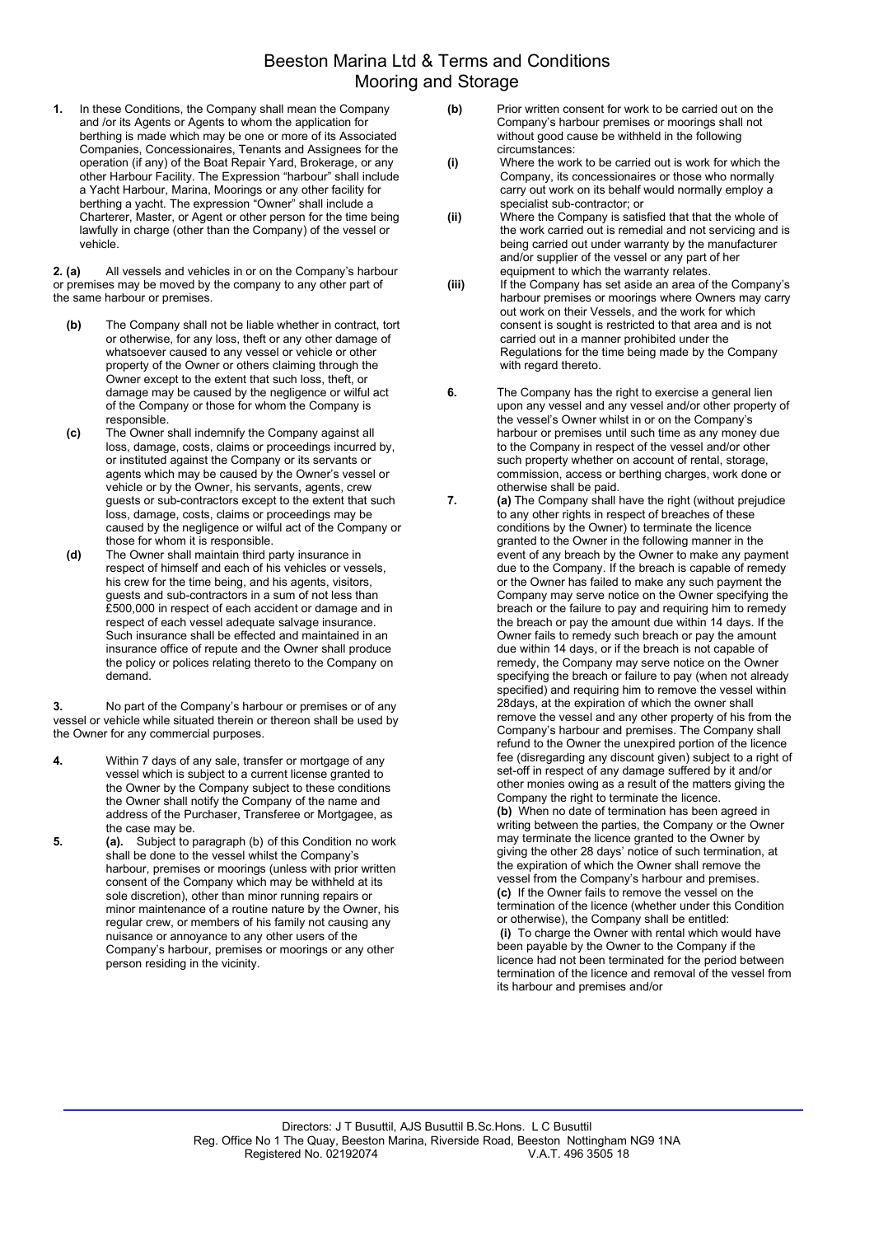## Beeston Marina Ltd & Terms and Conditions Mooring and Storage

1. In these Conditions, the Company shall mean the Company and /or its Agents or Agents to whom the application for berthing is made which may be one or more of its Associated Companies, Concessionaires, Tenants and Assignees for the operation (if any) of the Boat Repair Yard, Brokerage, or any other Harbour Facility. The Expression "harbour" shall include a Yacht Harbour, Marina, Moorings or any other facility for berthing a yacht. The expression "Owner" shall include a Charterer, Master, or Agent or other person for the time being lawfully in charge (other than the Company) of the vessel or vehicle.

2. (a) All vessels and vehicles in or on the Company's harbour or premises may be moved by the company to any other part of the same harbour or premises.

- (b) The Company shall not be liable whether in contract, tort or otherwise, for any loss, theft or any other damage of whatsoever caused to any vessel or vehicle or other property of the Owner or others claiming through the Owner except to the extent that such loss, theft, or damage may be caused by the negligence or wilful act of the Company or those for whom the Company is responsible.
- (c) The Owner shall indemnify the Company against all loss, damage, costs, claims or proceedings incurred by, or instituted against the Company or its servants or agents which may be caused by the Owner's vessel or vehicle or by the Owner, his servants, agents, crew guests or sub-contractors except to the extent that such loss, damage, costs, claims or proceedings may be caused by the negligence or wilful act of the Company or those for whom it is responsible.
- (d) The Owner shall maintain third party insurance in respect of himself and each of his vehicles or vessels, his crew for the time being, and his agents, visitors, guests and sub-contractors in a sum of not less than £500,000 in respect of each accident or damage and in respect of each vessel adequate salvage insurance. Such insurance shall be effected and maintained in an insurance office of repute and the Owner shall produce the policy or polices relating thereto to the Company on demand.

3. No part of the Company's harbour or premises or of any vessel or vehicle while situated therein or thereon shall be used by the Owner for any commercial purposes.

- 4. Within 7 days of any sale, transfer or mortgage of any vessel which is subject to a current license granted to the Owner by the Company subject to these conditions the Owner shall notify the Company of the name and address of the Purchaser, Transferee or Mortgagee, as the case may be.
- 5. (a). Subject to paragraph (b) of this Condition no work shall be done to the vessel whilst the Company's harbour, premises or moorings (unless with prior written consent of the Company which may be withheld at its sole discretion), other than minor running repairs or minor maintenance of a routine nature by the Owner, his regular crew, or members of his family not causing any nuisance or annoyance to any other users of the Company's harbour, premises or moorings or any other person residing in the vicinity.
- (b) Prior written consent for work to be carried out on the Company's harbour premises or moorings shall not without good cause be withheld in the following circumstances:
- (i) Where the work to be carried out is work for which the Company, its concessionaires or those who normally carry out work on its behalf would normally employ a specialist sub-contractor; or
- (ii) Where the Company is satisfied that that the whole of the work carried out is remedial and not servicing and is being carried out under warranty by the manufacturer and/or supplier of the vessel or any part of her equipment to which the warranty relates.
- (iii) If the Company has set aside an area of the Company's harbour premises or moorings where Owners may carry out work on their Vessels, and the work for which consent is sought is restricted to that area and is not carried out in a manner prohibited under the Regulations for the time being made by the Company with regard thereto.
- 6. The Company has the right to exercise a general lien upon any vessel and any vessel and/or other property of the vessel's Owner whilst in or on the Company's harbour or premises until such time as any money due to the Company in respect of the vessel and/or other such property whether on account of rental, storage, commission, access or berthing charges, work done or otherwise shall be paid.
- 7. **(a)** The Company shall have the right (without prejudice to any other rights in respect of breaches of these conditions by the Owner) to terminate the licence granted to the Owner in the following manner in the event of any breach by the Owner to make any payment due to the Company. If the breach is capable of remedy or the Owner has failed to make any such payment the Company may serve notice on the Owner specifying the breach or the failure to pay and requiring him to remedy the breach or pay the amount due within 14 days. If the Owner fails to remedy such breach or pay the amount due within 14 days, or if the breach is not capable of remedy, the Company may serve notice on the Owner specifying the breach or failure to pay (when not already specified) and requiring him to remove the vessel within 28days, at the expiration of which the owner shall remove the vessel and any other property of his from the Company's harbour and premises. The Company shall refund to the Owner the unexpired portion of the licence fee (disregarding any discount given) subject to a right of set-off in respect of any damage suffered by it and/or other monies owing as a result of the matters giving the Company the right to terminate the licence. (b) When no date of termination has been agreed in writing between the parties, the Company or the Owner may terminate the licence granted to the Owner by giving the other 28 days' notice of such termination, at the expiration of which the Owner shall remove the vessel from the Company's harbour and premises. (c) If the Owner fails to remove the vessel on the termination of the licence (whether under this Condition or otherwise), the Company shall be entitled: (i) To charge the Owner with rental which would have been payable by the Owner to the Company if the licence had not been terminated for the period between termination of the licence and removal of the vessel from its harbour and premises and/or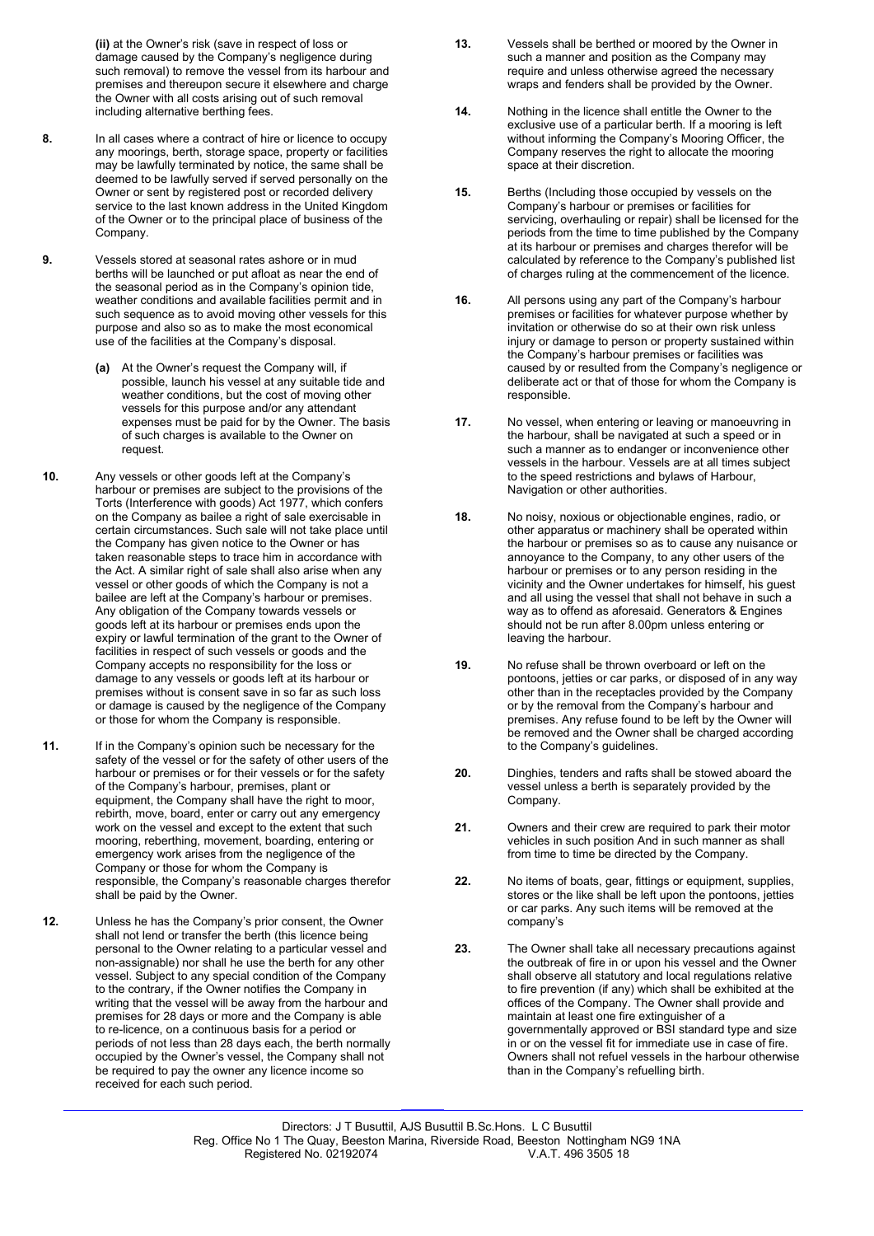(ii) at the Owner's risk (save in respect of loss or damage caused by the Company's negligence during such removal) to remove the vessel from its harbour and premises and thereupon secure it elsewhere and charge the Owner with all costs arising out of such removal including alternative berthing fees.

- 8. In all cases where a contract of hire or licence to occupy any moorings, berth, storage space, property or facilities may be lawfully terminated by notice, the same shall be deemed to be lawfully served if served personally on the Owner or sent by registered post or recorded delivery service to the last known address in the United Kingdom of the Owner or to the principal place of business of the Company.
- 9. Vessels stored at seasonal rates ashore or in mud berths will be launched or put afloat as near the end of the seasonal period as in the Company's opinion tide, weather conditions and available facilities permit and in such sequence as to avoid moving other vessels for this purpose and also so as to make the most economical use of the facilities at the Company's disposal.
	- (a) At the Owner's request the Company will, if possible, launch his vessel at any suitable tide and weather conditions, but the cost of moving other vessels for this purpose and/or any attendant expenses must be paid for by the Owner. The basis of such charges is available to the Owner on request.
- 10. Any vessels or other goods left at the Company's harbour or premises are subject to the provisions of the Torts (Interference with goods) Act 1977, which confers on the Company as bailee a right of sale exercisable in certain circumstances. Such sale will not take place until the Company has given notice to the Owner or has taken reasonable steps to trace him in accordance with the Act. A similar right of sale shall also arise when any vessel or other goods of which the Company is not a bailee are left at the Company's harbour or premises. Any obligation of the Company towards vessels or goods left at its harbour or premises ends upon the expiry or lawful termination of the grant to the Owner of facilities in respect of such vessels or goods and the Company accepts no responsibility for the loss or damage to any vessels or goods left at its harbour or premises without is consent save in so far as such loss or damage is caused by the negligence of the Company or those for whom the Company is responsible.
- 11. If in the Company's opinion such be necessary for the safety of the vessel or for the safety of other users of the harbour or premises or for their vessels or for the safety of the Company's harbour, premises, plant or equipment, the Company shall have the right to moor, rebirth, move, board, enter or carry out any emergency work on the vessel and except to the extent that such mooring, reberthing, movement, boarding, entering or emergency work arises from the negligence of the Company or those for whom the Company is responsible, the Company's reasonable charges therefor shall be paid by the Owner.
- 12. Unless he has the Company's prior consent, the Owner shall not lend or transfer the berth (this licence being personal to the Owner relating to a particular vessel and non-assignable) nor shall he use the berth for any other vessel. Subject to any special condition of the Company to the contrary, if the Owner notifies the Company in writing that the vessel will be away from the harbour and premises for 28 days or more and the Company is able to re-licence, on a continuous basis for a period or periods of not less than 28 days each, the berth normally occupied by the Owner's vessel, the Company shall not be required to pay the owner any licence income so received for each such period.
- 13. Vessels shall be berthed or moored by the Owner in such a manner and position as the Company may require and unless otherwise agreed the necessary wraps and fenders shall be provided by the Owner.
- 14. Nothing in the licence shall entitle the Owner to the exclusive use of a particular berth. If a mooring is left without informing the Company's Mooring Officer, the Company reserves the right to allocate the mooring space at their discretion.
- 15. Berths (Including those occupied by vessels on the Company's harbour or premises or facilities for servicing, overhauling or repair) shall be licensed for the periods from the time to time published by the Company at its harbour or premises and charges therefor will be calculated by reference to the Company's published list of charges ruling at the commencement of the licence.
- 16. All persons using any part of the Company's harbour premises or facilities for whatever purpose whether by invitation or otherwise do so at their own risk unless injury or damage to person or property sustained within the Company's harbour premises or facilities was caused by or resulted from the Company's negligence or deliberate act or that of those for whom the Company is responsible.
- 17. No vessel, when entering or leaving or manoeuvring in the harbour, shall be navigated at such a speed or in such a manner as to endanger or inconvenience other vessels in the harbour. Vessels are at all times subject to the speed restrictions and bylaws of Harbour, Navigation or other authorities.
- 18. No noisy, noxious or objectionable engines, radio, or other apparatus or machinery shall be operated within the harbour or premises so as to cause any nuisance or annoyance to the Company, to any other users of the harbour or premises or to any person residing in the vicinity and the Owner undertakes for himself, his guest and all using the vessel that shall not behave in such a way as to offend as aforesaid. Generators & Engines should not be run after 8.00pm unless entering or leaving the harbour.
- 19. No refuse shall be thrown overboard or left on the pontoons, jetties or car parks, or disposed of in any way other than in the receptacles provided by the Company or by the removal from the Company's harbour and premises. Any refuse found to be left by the Owner will be removed and the Owner shall be charged according to the Company's guidelines.
- 20. Dinghies, tenders and rafts shall be stowed aboard the vessel unless a berth is separately provided by the Company.
- 21. Owners and their crew are required to park their motor vehicles in such position And in such manner as shall from time to time be directed by the Company.
- 22. No items of boats, gear, fittings or equipment, supplies, stores or the like shall be left upon the pontoons, jetties or car parks. Any such items will be removed at the company's
- 23. The Owner shall take all necessary precautions against the outbreak of fire in or upon his vessel and the Owner shall observe all statutory and local regulations relative to fire prevention (if any) which shall be exhibited at the offices of the Company. The Owner shall provide and maintain at least one fire extinguisher of a governmentally approved or BSI standard type and size in or on the vessel fit for immediate use in case of fire. Owners shall not refuel vessels in the harbour otherwise than in the Company's refuelling birth.